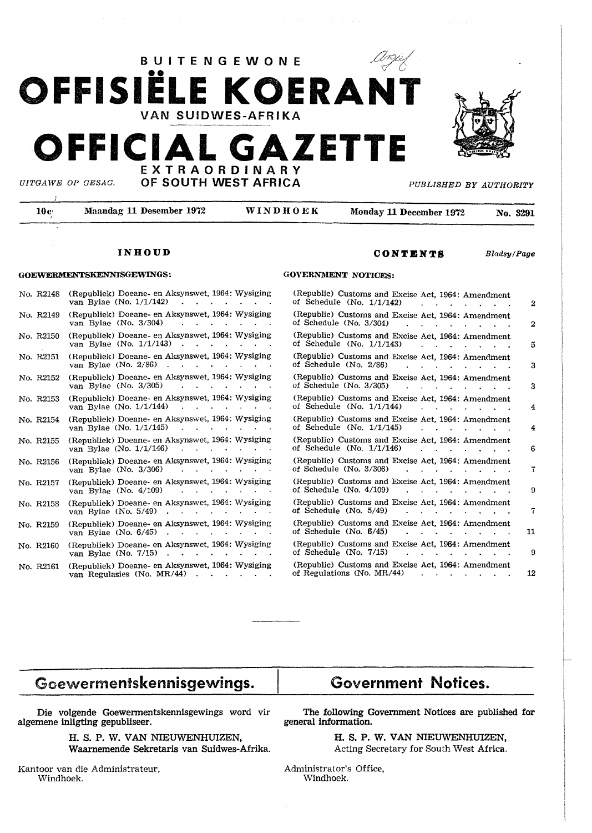

BUITENGEWONE

**OONTICNTS** *Bladsy!Page* 

# **INHOUD**

# **GOEWERMENTSKENNISGEWINGS:**

| No. R2148 | (Republiek) Doeane- en Aksynswet, 1964: Wysiging<br>van Bylae (No. 1/1/142)    |
|-----------|--------------------------------------------------------------------------------|
| No. R2149 | (Republiek) Doeane- en Aksynswet, 1964: Wysiging<br>van Bylae (No. 3/304)      |
| No. R2150 | (Republiek) Doeane- en Aksynswet, 1964: Wysiging<br>van Bylae (No. 1/1/143)    |
| No. R2151 | (Republiek) Doeane- en Aksynswet, 1964: Wysiging<br>van Bylae (No. 2/86)       |
| No. R2152 | (Republiek) Doeane- en Aksynswet, 1964: Wysiging<br>van Bylae (No. 3/305)      |
| No. R2153 | (Republiek) Doeane- en Aksynswet, 1964: Wysiging<br>van Bylae (No. 1/1/144)    |
| No. R2154 | (Republiek) Doeane- en Aksynswet, 1964: Wysiging<br>van Bylae (No. 1/1/145)    |
| No. R2155 | (Republiek) Doeane- en Aksynswet, 1964: Wysiging<br>van Bylae (No. 1/1/146)    |
| No. R2156 | (Republiek) Doeane- en Aksynswet, 1964: Wysiging<br>van Bylae (No. 3/306)      |
| No. R2157 | (Republiek) Doeane- en Aksynswet, 1964: Wysiging<br>van Bylae (No. 4/109)      |
| No. R2158 | (Republiek) Doeane- en Aksynswet, 1964: Wysiging<br>van Bylae (No. 5/49)       |
| No. R2159 | (Republiek) Doeane- en Aksynswet, 1964: Wysiging<br>van Bylae (No. $6/45$ )    |
| No. R2160 | (Republiek) Doeane- en Aksynswet, 1964: Wysiging<br>van Bylae (No. 7/15)       |
| No. R2161 | (Republiek) Doeane- en Aksynswet, 1964: Wysiging<br>van Regulasies (No. MR/44) |

#### **GOVERNMENT NOTICES:**

| (Republic) Customs and Excise Act, 1964: Amendment<br>of Schedule (No. 1/1/142)  | $\overline{2}$ |
|----------------------------------------------------------------------------------|----------------|
| (Republic) Customs and Excise Act, 1964: Amendment<br>of Schedule (No. 3/304)    | $\overline{2}$ |
| (Republic) Customs and Excise Act, 1964: Amendment<br>of Schedule (No. 1/1/143)  | 5              |
| (Republic) Customs and Excise Act, 1964: Amendment<br>of Schedule (No. 2/86)     | 3              |
| (Republic) Customs and Excise Act, 1964: Amendment<br>of Schedule (No. 3/305)    | 3              |
| (Republic) Customs and Excise Act, 1964: Amendment<br>of Schedule (No. 1/1/144)  | 4              |
| (Republic) Customs and Excise Act, 1964: Amendment<br>of Schedule (No. 1/1/145)  | 4              |
| (Republic) Customs and Excise Act, 1964: Amendment<br>of Schedule (No. 1/1/146)  | 6              |
| (Republic) Customs and Excise Act. 1964: Amendment<br>of Schedule (No. 3/306)    | 7              |
| (Republic) Customs and Excise Act, 1964: Amendment<br>of Schedule (No. 4/109)    | 9              |
| (Republic) Customs and Excise Act, 1964: Amendment<br>of Schedule (No. 5/49)     | 7              |
| (Republic) Customs and Excise Act, 1964: Amendment<br>of Schedule (No. 6/45)     | 11             |
| (Republic) Customs and Excise Act, 1964: Amendment<br>of Schedule (No. 7/15)     | 9              |
| (Republic) Customs and Excise Act, 1964: Amendment<br>of Regulations (No. MR/44) | 12             |
|                                                                                  |                |

# **Goewermentskennisgewings.**

# **Die volgende Goewermentskennisgewings word vir algemene inligting gepubliseer.**

**H. S. P. W. VAN NIEUWENHUIZEN, Waarnemende Sekretaris van Suidwes-Afrika.** 

Kantoor van die Administrateur, Windhoek.

# Government **Notices.**

**The following Government Notices are published for general information.** 

> **H. S. P. W. VAN NIEUWENHUIZEN,**  Acting Secretary for South West **Africa.**

Administrator's Office, Windhoek.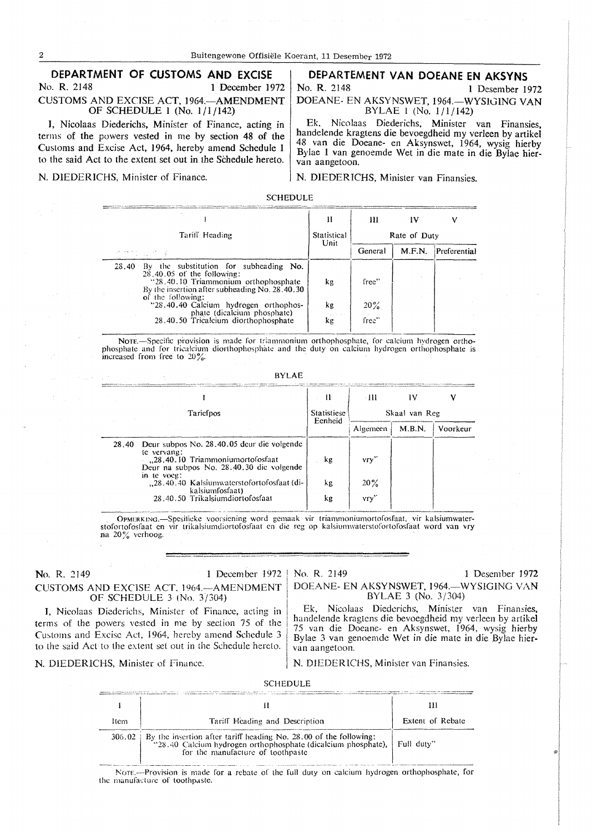#### DEPARTMENT OF CUSTOMS AND EXCISE No. R. 2148 1 December 1972 **CUSTOMS AND EXCISE ACT, 1964. AMENDMENT** OF SCHEDULE 1 (No. 1/1/142)

I. Nicolaas Diederichs, Minister of Finance, acting in terms of the powers vested in me by section 48 of the Customs and Excise Act, 1964, hereby amend Schedule 1 to the said Act to the extent set out in the Schedule hereto.

N. DIEDERICHS, Minister of Finance.

# DEPARTEMENT VAN DOEANE EN AKSYNS

No. R. 2148 1 Desember 1972 DOEANE- EN AKSYNSWET, 1964. -WYSIGING VAN

BYLAE 1 (No.  $1/1/142$ )

Ek, Nicolaas Diederichs, Minister van Finansies, handelende kragtens die bevoegdheid my verleen by artikel 48 van die Doeane- en Aksynswet, 1964, wysig hierby Bylae 1 van genoemde Wet in die mate in die Bylae hiervan aangetoon.

N. DIEDERICHS, Minister van Finansies.

**SCHEDULE** 

|                                           |                                                                                                                                                                                                                                                                                                       | н                   | Ш                        |        |              |
|-------------------------------------------|-------------------------------------------------------------------------------------------------------------------------------------------------------------------------------------------------------------------------------------------------------------------------------------------------------|---------------------|--------------------------|--------|--------------|
| Tariff Heading<br>ਦਾ ਦਾ ਪ੍ਰਾਪਤ ਦੀ ਪੱਛੋਂ ਹ |                                                                                                                                                                                                                                                                                                       | Statistical<br>Unit | Rate of Duty             |        |              |
|                                           |                                                                                                                                                                                                                                                                                                       |                     | General                  | M.F.N. | Preferential |
| 28.40                                     | By the substitution for subheading No.<br>$28.40.05$ of the following:<br>"28.40.10 Triammonium orthophosphate<br>By the insertion after subheading No. 28.40.30<br>of the following:<br>"28.40.40 Calcium hydrogen orthophos-<br>phate (dicalcium phosphate)<br>28.40.50 Tricalcium diorthophosphate | kg<br>kg<br>kg      | free"<br>$20\%$<br>free" |        |              |

Note.-Specific provision is made for triammonium orthophosphate, for calcium hydrogen orthophosphate and for tricalcium diorthophosphate and the duty on calcium hydrogen orthophosphate is<br>increased from free to 20%.

| RY | .AF |
|----|-----|
|----|-----|

|                                                                                                                                                                                                                                                                        | Ħ                      | - 111                       | IV     | v        |
|------------------------------------------------------------------------------------------------------------------------------------------------------------------------------------------------------------------------------------------------------------------------|------------------------|-----------------------------|--------|----------|
| Taricipos                                                                                                                                                                                                                                                              | Statistiese<br>Eenheid | Skaal van Reg               |        |          |
|                                                                                                                                                                                                                                                                        |                        | Algemeen                    | M.B.N. | Voorkeur |
| Deur subpos No. 28.40.05 deur die volgende<br>28.40<br>te vervang:<br>"28.40.10 Triammoniumortofosfaat<br>Deur na subpos No. 28.40.30 die volgende<br>in te voeg:<br>"28.40.40 Kalsiumwaterstofortofosfaat (di-<br>kalsiumfosfaat)<br>28.40.50 Trikalsiumdiortofosfaat | kg<br>kg<br>kg         | Vry'<br>20%<br>$V \Gamma V$ |        |          |

OPMERKING.-Spesificke voorsiening word gemaak vir triammoniumortofosfaat, vir kalsiumwaterstofortofosfaat en vir trikalsiumdiortofosfaat en die reg op kalsiumwaterstofortofosfaat word van vry na 20% verhoog.

#### No. R. 2149 1 December 1972 CUSTOMS AND EXCISE ACT, 1964. AMENDMENT OF SCHEDULE 3 (No. 3/304)

I, Nicolaas Diederichs, Minister of Finance, acting in terms of the powers vested in me by section 75 of the Customs and Excise Act, 1964, hereby amend Schedule 3 to the said Act to the extent set out in the Schedule hereto.

N. DIEDERICHS, Minister of Finance.

No. R. 2149 1 Desember 1972 DOEANE- EN AKSYNSWET, 1964.-WYSIGING VAN BYLAE 3 (No. 3/304)

Ek, Nicolaas Diederichs, Minister van Finansies, handelende kragtens die bevoegdheid my verleen by artikel 75 van die Doeane- en Aksynswet, 1964, wysig hierby Bylae 3 van genoemde Wet in die mate in die Bylae hiervan aangetoon.

N. DIEDERICHS, Minister van Finansies.

#### **SCHEDULE**

| ltem | Tariff Heading and Description                                                                                                                                                              | Extent of Rebate |  |  |
|------|---------------------------------------------------------------------------------------------------------------------------------------------------------------------------------------------|------------------|--|--|
|      | $306.02$ By the insertion after tariff heading No. 28.00 of the following:<br>"28.40 Calcium hydrogen orthophosphate (dicalcium phosphate), Full duty"<br>for the manufacture of toothpaste |                  |  |  |

Nore,---Provision is made for a rebate of the full duty on calcium hydrogen orthophosphate, for the manufacture of toothpaste.

 $\overline{2}$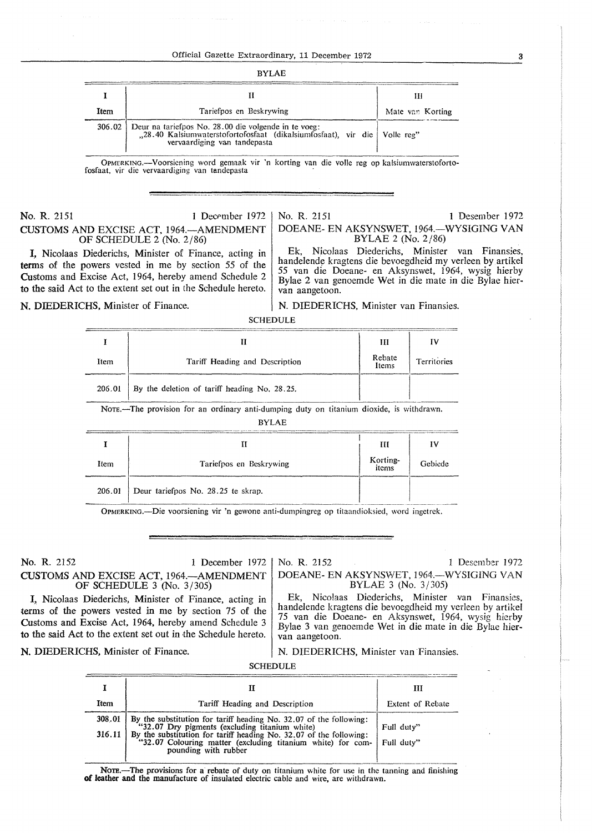| ì<br>I | ı |
|--------|---|
|--------|---|

| Item | Tariefpos en Beskrywing                                                                                                                                                  | Mate van Korting |  |  |  |
|------|--------------------------------------------------------------------------------------------------------------------------------------------------------------------------|------------------|--|--|--|
|      | 306.02 Deur na tariefpos No. 28.00 die volgende in te voeg:<br>,28.40 Kalsiumwaterstofortofosfaat (dikalsiumfosfaat), vir die Volle reg"<br>vervaardiging van tandepasta |                  |  |  |  |

OPMERKING.-Voorsiening word gemaak vir 'n korting van die voile reg op kalsiumwaterstofortofosfaat, vir die vervaardiging van tandepasta ·

**No. R. 2151** 1 December 1972 **CUSTOMS AND** EXCISE ACT. 1964.-AMENDMENT OF SCHEDULE 2 (No. 2/86)

I, Nicolaas Diederichs, Minister of Finance, acting in terms of the powers vested in me by section 55 of the Customs and Excise Act, 1964, hereby amend Schedule 2 to the said Act to the extent set out in the Schedule hereto.

No. R. 2151 1 Desember 1972 DOEANE- EN AKSYNSWET, 1964.-WYSIGING VAN BYLAE 2 (No. 2/86)

Ek, Nicolaas Diederichs, Minister van Finansies, handelende kragtens die bevoegdheid my verleen by artikel *55* van die Doeane- en Aksynswet, 1964, wysig hierby Bylae 2 van genoemde Wet in die mate in die Bylae hiervan aangetoon.

N. DIEDERICHS, Minister van Finansies.

N. DIEDERICHS, Minister of Finance.

SCHEDULE

|        |                                                                                          | Ш               |             |
|--------|------------------------------------------------------------------------------------------|-----------------|-------------|
| Item   | Tariff Heading and Description                                                           | Rebate<br>Items | Territories |
| 206.01 | By the deletion of tariff heading No. 28.25.                                             |                 |             |
|        | Nore.—The provision for an ordinary anti-dumping duty on titanium dioxide, is withdrawn. |                 |             |

BYLAE

|        |                                    | Ш                 | I٦,     |
|--------|------------------------------------|-------------------|---------|
| Item   | Tariefpos en Beskrywing            | Korting-<br>items | Gebiede |
| 206.01 | Deur tariefpos No. 28.25 te skrap. |                   |         |

OPMERKING.-Die voorsiening vir 'n gewone anti-dumpingreg op titaandioksied, word ingetrek.

**No. R.** 2152 I December 1972 CUSTOMS AND EXCISE ACT, 1964.-AMENDMENT OF SCHEDULE 3 (No. 3/305)

No. **R.** 2152 1 Desember 1972 DOEANE- EN AKSYNSWET, 1964.-WYSIGING VAN

BYLAE 3 (No. 3/305)

Ek, Nicolaas Diederichs, Minister van Finansies,

I, Nicolaas Diederichs, Minister of Finance, acting in terms of the powers vested in me by section 75 of the Customs and Excise Act, 1964, hereby amend Schedule 3 **to** the said Act to the extent set out in the Schedule hereto.

handelende kragtens die bevoegdheid my verleen by artikel 75 van die Doeane- en Aksynswet, 1964, wysig hicrby Bylae 3 van genocmde Wet in die mate in die Bylae hiervan aangetoon.

**N. DIEDERICHS,** Minister of Finance.

N. DIEDERICHS, Minister van Finansies.

SCHEDULE

|                                                                                                                                                        | Ш                                              |
|--------------------------------------------------------------------------------------------------------------------------------------------------------|------------------------------------------------|
| Tariff Heading and Description                                                                                                                         | <b>Extent of Rebate</b>                        |
| By the substitution for tariff heading No. 32.07 of the following:                                                                                     | Full duty"                                     |
| By the substitution for tariff heading No. 32.07 of the following: "32.07 Colouring matter (excluding titanium white) for com-<br>pounding with rubber | Full duty"                                     |
|                                                                                                                                                        | "32.07 Dry pigments (excluding titanium white) |

NOTE.-The provisions for a rebate of duty on titanium white for use in the tanning and finishing of leather and the manufacture of insulated electric cable and wire, are withdrawn.

3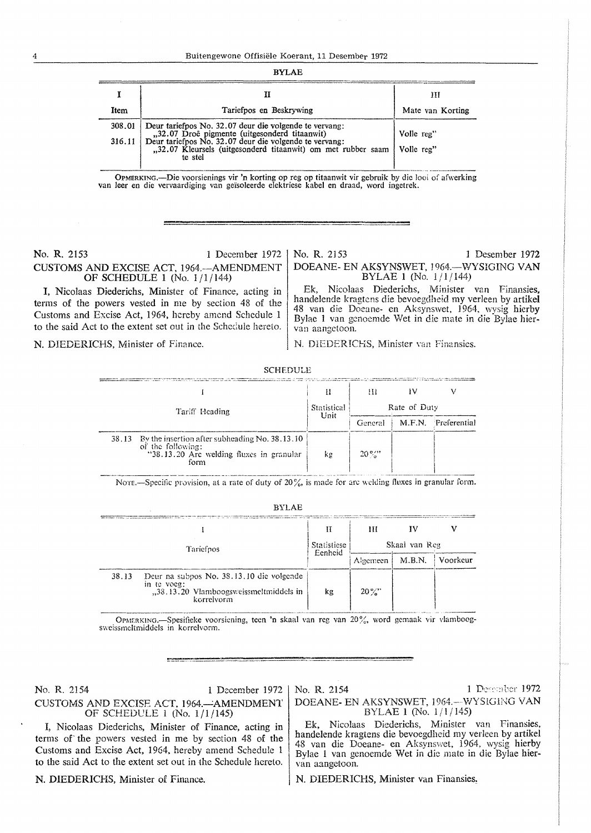#### **RYLAE**

| Item | Tariefpos en Beskrywing                                                                                                                                                                                                                                    | Ш<br>Mate van Korting    |
|------|------------------------------------------------------------------------------------------------------------------------------------------------------------------------------------------------------------------------------------------------------------|--------------------------|
|      | 308.01 Deur tariefpos No. 32.07 deur die volgende te vervang:<br>,32.07 Droë pigmente (uitgesonderd titaanwit)<br>316.11 Deur tariefpos No. 32.07 deur die volgende te vervang:<br>"32.07 Kleursels (uitgesonderd titaanwit) om met rubber saam<br>te stel | Volle reg"<br>Volle reg" |

OPMERKING.—Die voorsienings vir 'n korting op reg op titaanwit vir gebruik by die looi of afwerking van leer en die vervaardiging van geïsoleerde elektriese kabel en draad, word ingetrek.

# No. R. 2153

1 December 1972 CUSTOMS AND EXCISE ACT, 1964. - AMENDMENT OF SCHEDULE 1 (No. 1/1/144)

I, Nicolaas Diederichs, Minister of Finance, acting in terms of the powers vested in me by section 48 of the Customs and Excise Act, 1964, hereby amend Schedule 1 to the said Act to the extent set out in the Schedule hereto.

N. DIEDERICHS, Minister of Finance.

No. R. 2153 1 Desember 1972 DOEANE- EN AKSYNSWET, 1964. - WYSIGING VAN BYLAE 1 (No. 1/1/144)

Ek, Nicolaas Diederichs, Minister van Finansies, handelende kragtens die bevoegdheid my verleen by artikel 48 van die Doeane- en Aksynswet, 1964, wysig hierby Bylae 1 van genoemde Wet in die mate in die Bylae hiervan aangetoon.

N. DIEDERICHS, Minister van Finansies.

| <u>UCILLICIJ</u>                                                                                                                   |                     |              |  |                     |
|------------------------------------------------------------------------------------------------------------------------------------|---------------------|--------------|--|---------------------|
|                                                                                                                                    |                     | m            |  |                     |
| Tariff Heading                                                                                                                     | Statistical<br>Unit | Rate of Duty |  |                     |
|                                                                                                                                    |                     | General      |  | M.F.N. Preferential |
| By the insertion after subheading No. 38, 13, 10<br>38.13<br>of the following:<br>"38.13.20 Arc welding fluxes in granular<br>form | kε                  | $20\%$       |  |                     |

**COUTDUIT** 

NOTE.-Specific provision, at a rate of duty of 20%, is made for arc welding fluxes in granular form.

| ٠ |
|---|
|---|

|                                                                                                                          | Н                      | Ш             |        |          |
|--------------------------------------------------------------------------------------------------------------------------|------------------------|---------------|--------|----------|
| Tariefpos                                                                                                                | Statistiese<br>Eenheid | Skaal van Reg |        |          |
|                                                                                                                          |                        | Algemeen      | M.B.N. | Voorkeur |
| Deur na subpos No. 38.13.10 die volgende<br>38.13<br>in te voeg:<br>"38.13.20 Vlamboogsweissmeltmiddels in<br>korrelvorm | kg                     | $20\%$        |        |          |

OPMERKING.-Spesifieke voorsiening, teen 'n skaal van reg van 20%, word gemaak vir vlamboogsweissmeltmiddels in korrelvorm.

No. R. 2154 1 December 1972 CUSTOMS AND EXCISE ACT, 1964.-AMENDMENT OF SCHEDULE 1 (No. 1/1/145)

I, Nicolaas Diederichs, Minister of Finance, acting in terms of the powers vested in me by section 48 of the Customs and Excise Act, 1964, hereby amend Schedule 1 to the said Act to the extent set out in the Schedule hereto.

N. DIEDERICHS, Minister of Finance.

No. R. 2154 1 December 1972 DOEANE- EN AKSYNSWET, 1964.-WYSIGING VAN BYLAE 1 (No.  $1/1/145$ )

Ek. Nicolaas Diederichs, Minister van Finansies, handelende kragtens die bevoegdheid my verleen by artikel 48 van die Doeane- en Aksynswet, 1964, wysig hierby<br>Bylae 1 van genoemde Wet in die mate in die Bylae hiervan aangetoon.

N. DIEDERICHS, Minister van Finansies.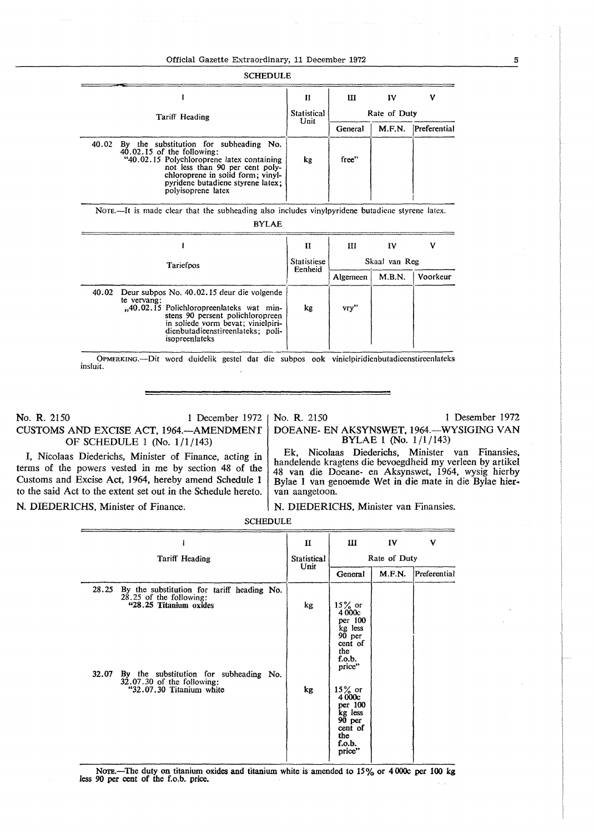### Official Gazette Extraordinary, 11 December 1972

| <b>SCHEDULE</b>                                                                                                                                                                                                                                                  |                    |              |        |              |
|------------------------------------------------------------------------------------------------------------------------------------------------------------------------------------------------------------------------------------------------------------------|--------------------|--------------|--------|--------------|
|                                                                                                                                                                                                                                                                  | П                  | Ш            | IV     | V            |
| Tariff Heading                                                                                                                                                                                                                                                   | <b>Statistical</b> | Rate of Duty |        |              |
|                                                                                                                                                                                                                                                                  | Unit               | General      | M.F.N. | Preferential |
| By the substitution for subheading No.<br>40.02<br>$40.02.15$ of the following:<br>"40.02.15 Polychloroprene latex containing<br>not less than 90 per cent poly-<br>chloroprene in solid form; vinyl-<br>pyridene butadiene styrene latex:<br>polyisoprene latex | kg                 | free"        |        |              |

BYLAE

|           |                                                                                                                                                                                                                                              | П                  | Ш             | I٧     | ν        |
|-----------|----------------------------------------------------------------------------------------------------------------------------------------------------------------------------------------------------------------------------------------------|--------------------|---------------|--------|----------|
| Tariefpos |                                                                                                                                                                                                                                              | <b>Statistiese</b> | Skaal van Reg |        |          |
|           |                                                                                                                                                                                                                                              | Eenheid            | Algemeen      | M.B.N. | Voorkeur |
|           | 40.02 Deur subpos No. 40.02.15 deur die volgende<br>te vervang:<br>"40.02.15 Polichloropreenlateks wat min-<br>stens 90 persent polichloropreen<br>in soliede vorm bevat; vinielpiri-<br>dienbutadieenstireenlateks: poli-<br>isopreenlateks | kg                 | vry"          |        |          |

OPMERKING.-Dit word duidelik gestel dat die subpos ook vinielpiridienbutadieenstireenlaleks insluit.

**No. R.** 2 I *50* I December 1972 **CUSTOMS AND EXCISE ACT, 1964.-AMENDMENT**  OF SCHEDULE 1 (No. 1/1/143)

# No. R. 2150 1 Desember 1972

DOEANE- EN **AKSYNSWET,** 1964.-WYSIGING VAN BYLAE 1 (No. 1/1/143)

I, Nicolaas Diederichs, Minister of Finance, acting *in*  terms of the powers vested in me by section 48 of the Customs and Excise Act, 1964, hereby amend Schedule 1 to the said Act to the extent set out in the Schedule hereto. **N.** DIEDERICHS, Minister of Finance.

Ek, Nicolaas Diederichs, Minister van Finansies, handelende kragtens die bevoegdheid my verleen by artikel 48 van die Doeane- en Aksynswet, 1964, wysig hierby Bylae l van genoemde Wet in die mate in die Bylae hiervan aangetoon.

# N. DIEDERICHS, Minister van Finansies.

SCHEDULE

|                                                                                                             | п           | Ш                                                                                        | IV           | v            |
|-------------------------------------------------------------------------------------------------------------|-------------|------------------------------------------------------------------------------------------|--------------|--------------|
| Tariff Heading                                                                                              | Statistical |                                                                                          | Rate of Duty |              |
|                                                                                                             | Unit        | General                                                                                  | M.F.N.       | Preferential |
| 28.25<br>By the substitution for tariff heading No.<br>28.25 of the following:<br>"28.25 Titanium oxides    | kg          | $15\%$ or<br>4000c<br>per 100<br>kg less<br>90 per<br>cent of<br>the<br>f.o.b.<br>price" |              |              |
| By the substitution for subheading No.<br>32.07<br>$32.07.30$ of the following:<br>"32.07.30 Titanium white | kg          | $15\%$ or<br>4000c<br>per 100<br>kg less<br>90 per<br>cent of<br>the<br>f.o.b.<br>price" |              |              |

Nore.—The duty on titanium oxides and titanium white is amended to  $15\%$  or  $4\,000c$  per 100 kg less 90 per cent of the f.o.b. price. .

5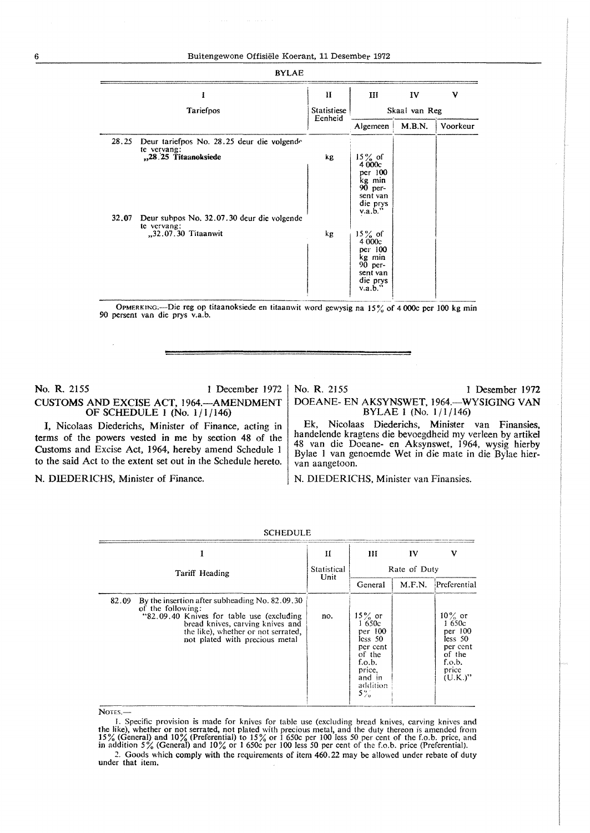| <b>BYLAE</b>                                                                                                                                                                            |                        |                                                                                                                                                                                          |               |          |
|-----------------------------------------------------------------------------------------------------------------------------------------------------------------------------------------|------------------------|------------------------------------------------------------------------------------------------------------------------------------------------------------------------------------------|---------------|----------|
|                                                                                                                                                                                         | H                      | Ш                                                                                                                                                                                        | IV            | ν        |
| Tariefpos                                                                                                                                                                               | Statistiese<br>Eenheid |                                                                                                                                                                                          | Skaal van Reg |          |
|                                                                                                                                                                                         |                        | Algemeen                                                                                                                                                                                 | M.B.N.        | Voorkeur |
| 28.25<br>Deur tariefpos No. 28.25 deur die volgende<br>te vervang:<br>"28.25 Titaanoksiede<br>32.07<br>Deur subpos No. 32.07.30 deur die volgende<br>te vervang:<br>"32.07.30 Titaanwit | kg<br>kg               | $15\%$ of<br>4 000c<br>per 100<br>kg min<br>90 per-<br>sent van<br>die prys<br>$v.a.b.$ "<br>$15\%$ of<br>4 000c<br>per 100<br>kg min<br>$90$ per-<br>sent van<br>die prys<br>$v.a.b.$ " |               |          |

OPMERKING:—Die reg op titaanoksiede en titaanwit word gewysig na 15% of 4 000c per 100 kg min 90 persent van die prys v.a.b.

# **No. R.** 2155 1 December 1972 CUSTOMS AND EXCISE ACT, 1964.-AMENDMENT OF SCHEDULE I (No. 1/1/146)

I, Nicolaas Diederichs, Minister of Finance, acting in terms of the powers vested in me by section 48 of the Customs and Excise Act, 1964, hereby amend Schedule l to the said Act to the extent set out in the Schedule hereto.

No. **R.** 2155 1 Desember 1972 DOEANE- EN AKSYNSWET, 1964.-WYSIGING VAN BYLAE 1 (No. 1/1/146)

Ek, Nicolaas Diederichs, Minister van Finansies, handelende kragtens die bevoegdheid my verleen by artikel 48 van die Doeane- en Aksynswet, 1964, wysig hierby Bylae 1 van genoemde Wet in die mate in die Bylae hiervan aangetoon.

N. DIEDERICHS, Minister of Finance. N. DIEDERICHS, Minister van Finansies.

| <b>SCHEDULE</b> |                                                                                                                                                                                                                                |                     |                                                                                                                      |        |                                                                                               |  |
|-----------------|--------------------------------------------------------------------------------------------------------------------------------------------------------------------------------------------------------------------------------|---------------------|----------------------------------------------------------------------------------------------------------------------|--------|-----------------------------------------------------------------------------------------------|--|
|                 |                                                                                                                                                                                                                                | П                   | Ш                                                                                                                    | IV     | ν                                                                                             |  |
|                 | Tariff Heading                                                                                                                                                                                                                 | Statistical<br>Unit |                                                                                                                      |        | Rate of Duty                                                                                  |  |
|                 |                                                                                                                                                                                                                                |                     | General                                                                                                              | M.F.N. | Preferential                                                                                  |  |
| 82.09           | By the insertion after subheading No. 82.09.30<br>of the following:<br>"82.09.40 Knives for table use (excluding)<br>bread knives, carving knives and<br>the like), whether or not serrated,<br>not plated with precious metal | no.                 | $15\%$ or<br>1 650c<br>per $100$<br>less 50<br>per cent<br>of the<br>f.o.b.<br>price,<br>and in<br>addition<br>$5\%$ |        | $10\%$ or<br>1 650c<br>per 100<br>less 50<br>per cent<br>of the<br>f.o.b.<br>price<br>(U.K.)" |  |

NOTES.-

I. Specific provision is made for knives for table use (excluding bread knives, carving knives and the like), whether or not serrated, not plated with precious metal, and the duty thereon is amended from 15% (General) and 10% (Preferential) to 15% or 1 650c per 100 less 50 per cent of the f.o.b. price, and in addition

*<sup>2.</sup>* Goods which comply with the requirements of item 460.22 may be allowed under rebate of duty under that item.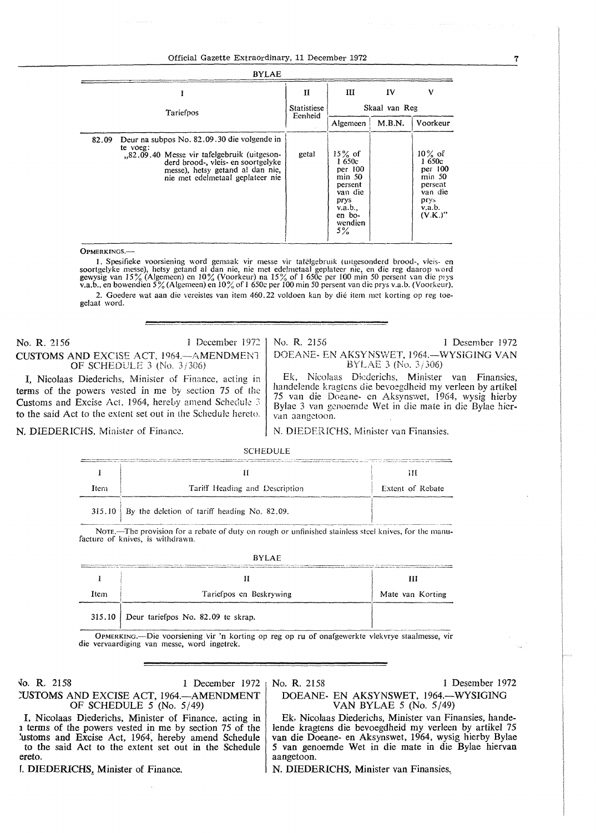### Official Gazette Extraordinary, 11 December 1972

| <b>BYLAE</b> |                                                                                                                                                                                                                      |                        |                                                                                                               |               |                                                                                                 |
|--------------|----------------------------------------------------------------------------------------------------------------------------------------------------------------------------------------------------------------------|------------------------|---------------------------------------------------------------------------------------------------------------|---------------|-------------------------------------------------------------------------------------------------|
|              | I                                                                                                                                                                                                                    | П                      | Ш                                                                                                             | IV            | v                                                                                               |
|              | Tariefpos                                                                                                                                                                                                            | Statistiese<br>Eenheid |                                                                                                               | Skaal van Reg |                                                                                                 |
|              |                                                                                                                                                                                                                      |                        | Algemeen                                                                                                      | M.B.N.        | Voorkeur                                                                                        |
| 82.09        | Deur na subpos No. 82.09.30 die volgende in<br>te voeg:<br>.82.09.40 Messe vir tafelgebruik (uitgeson-<br>derd brood-, yleis- en soortgelyke<br>messe), hetsy getand al dan nie,<br>nie met edelmetaal geplateer nie | getal                  | $15\%$ of<br>1650c<br>per 100<br>$min$ 50<br>persent<br>van die<br>prys<br>v.a.b.,<br>en bo-<br>wendien<br>5% |               | $10\%$ of<br>1650c<br>per 100<br>$min$ 50<br>persent<br>van die<br>prys<br>v.a.b.<br>$(V.K.)$ " |

OPMERKINGS.-

1. Spesifieke voorsiening word gemaak vir messe vir tatelgebruik (uitgesonderd brood-, vleis- en soortgelyke messe), hetsy getand al dan nie, nie met edelmetaal geplateer nie, en die reg daarop word gewysig van 15% (Algem 2. Goedere wat aan die vereistes van item 460.22 voldoen kan by die item met korting op reg toegelaat word.

No. R. 2156 1 December 1972 CUSTOMS AND EXCISE ACT, 1964. AMENDMENT OF SCHEDULE 3 (No. 3 /306)

I, Nicolaas Diederichs, Minister of Finance, acting in terms of the powers vested in me by section 75 of the Customs and Excise Act, 1964, hereby amend Schedule 3 to the said Act to the extent set out in the Schedule hereto.

N. DIEDERICHS, Minister of Finance.

No. R. 2156 I Desember 1972

DOEANE- EN AKSYNSWET, 1964.-WYSIGING VAN BYLAE 3 (No. 3 / 306)

Ek, Nicolaas Diederichs, Minister van Finansics, handelende kragtcns die bcvoegdheid my verleen by artikel 75 van die Doeane- en Aksynswct, 1964, wysig hierby Bylae 3 van gcnoernde Wet in die mate in die Bylae hicrvan aangctoon.

N. DIEDERICHS, Minister van Finansies.

# SCHEDULE

| Item | Tariff Heading and Description                        | Extent of Rebate |
|------|-------------------------------------------------------|------------------|
|      | $315.10$ By the deletion of tariff heading No. 82.09. |                  |

Norn.-The provision for a rebate of duty on rough or unfinished stainless steel knives, for the manu-<br>facture of knives, is withdrawn.

| <b>BYLAE</b> |                                             |                  |  |  |  |
|--------------|---------------------------------------------|------------------|--|--|--|
|              |                                             | Ш                |  |  |  |
|              |                                             |                  |  |  |  |
| Item         | Tariefpos en Beskrywing                     | Mate van Korting |  |  |  |
|              | $315.10$ Deur tariefpos No. 82.09 te skrap. |                  |  |  |  |

OPMERKING.---Die voorsiening vir 'n korting op reg op ru of onafgewerkte vlekvrye staalmesse, vir die vervaardiging van messe, word ingetrek.

fo. **R.** 2158 1 December 1972 **:USTOMS** AND EXCISE ACT, 1964.-AMENDMENT OF SCHEDULE  $5$  (No.  $5/49$ )

aangetoon.

No. R. 2158 1 Desember 1972

DOEANE- EN AKSYNSWET, 1964.-WYSIGING VAN BYLAE 5 (No. 5/49) Ek, Nicolaas Diederichs, Minister van Finansies, hande-

lende kragtens die bevoegdheid my verleen by artikel 75 van die Doeane- en Aksynswet, 1964, wysig hierby Bylae *5* van genoemde Wet in die mate in die Bylae hiervan

I, Nicolaas Diederichs, Minister of Finance, acting in 1 terms of the powers vested in me by section 75 of the lustoms and Excise Act, 1964, hereby amend Schedule to the said Act to the extent set out in the Schedule ereto.

1. DIEDERICHS, Minister of Finance.

N. DIEDERICHS, Minister van Finansies.

7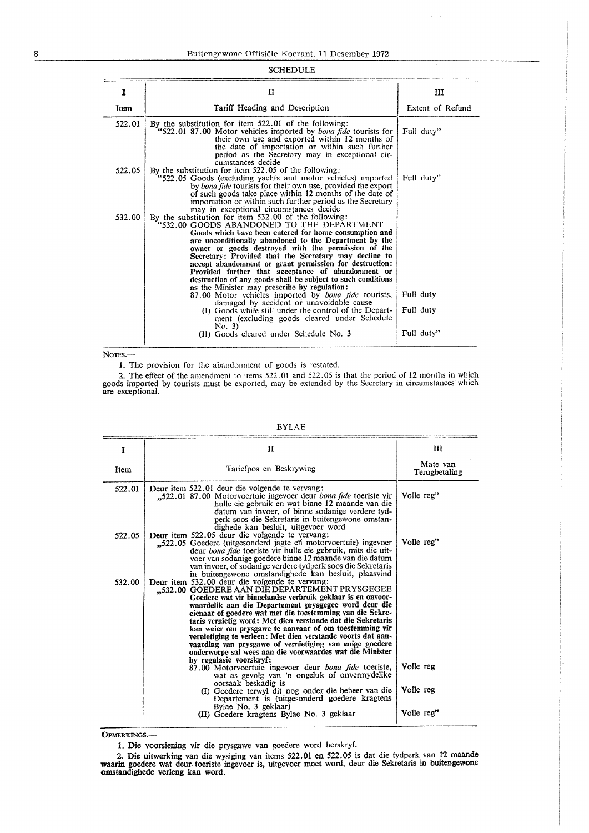## SCHEDULE

| 1      | п                                                                                                                                                                                                                                                                                                                                                                                                                                                                                                                                                                                                                                                                                                                                                                                                                                          | ш                                    |
|--------|--------------------------------------------------------------------------------------------------------------------------------------------------------------------------------------------------------------------------------------------------------------------------------------------------------------------------------------------------------------------------------------------------------------------------------------------------------------------------------------------------------------------------------------------------------------------------------------------------------------------------------------------------------------------------------------------------------------------------------------------------------------------------------------------------------------------------------------------|--------------------------------------|
| Item   | Tariff Heading and Description                                                                                                                                                                                                                                                                                                                                                                                                                                                                                                                                                                                                                                                                                                                                                                                                             | Extent of Refund                     |
| 522.01 | By the substitution for item 522.01 of the following:<br>"522.01 87.00 Motor vehicles imported by <i>bona fide</i> tourists for<br>their own use and exported within 12 months of<br>the date of importation or within such further<br>period as the Secretary may in exceptional cir-<br>cumstances decide                                                                                                                                                                                                                                                                                                                                                                                                                                                                                                                                | Full duty"                           |
| 522.05 | By the substitution for item 522.05 of the following:<br>"522.05 Goods (excluding yachts and motor vehicles) imported<br>by bona fide tourists for their own use, provided the export<br>of such goods take place within 12 months of the date of<br>importation or within such further period as the Secretary<br>may in exceptional circumstances decide                                                                                                                                                                                                                                                                                                                                                                                                                                                                                 | Full duty"                           |
| 532.00 | By the substitution for item 532.00 of the following:<br>'532.00 GOODS ABANDONED TO THE DEPARTMENT<br>Goods which have been entered for home consumption and<br>are unconditionally abandoned to the Department by the<br>owner or goods destroyed with the permission of the<br>Secretary: Provided that the Secretary may decline to<br>accept abandonment or grant permission for destruction:<br>Provided further that acceptance of abandomment or<br>destruction of any goods shall be subject to such conditions<br>as the Minister may prescribe by regulation:<br>87.00 Motor vehicles imported by bona fide tourists,<br>damaged by accident or unavoidable cause<br>(I) Goods while still under the control of the Depart-<br>ment (excluding goods cleared under Schedule<br>No. 3)<br>(II) Goods cleared under Schedule No. 3 | Full duty<br>Full duty<br>Full duty" |

NOTES.-

 $\bar{\mathcal{A}}$ 

1. The provision for the abandonment of goods is restated.

2. The effect of the amendment to items 522.01 and 522.05 is that the period of 12 months in which goods imported by tourists must be exported, may be extended by the Secretary in circumstances·which are exceptional.

| T      | н                                                                                                                                                                                                                                                                                                                                                                                                                                                                                                                                                                                                  | Ш                         |
|--------|----------------------------------------------------------------------------------------------------------------------------------------------------------------------------------------------------------------------------------------------------------------------------------------------------------------------------------------------------------------------------------------------------------------------------------------------------------------------------------------------------------------------------------------------------------------------------------------------------|---------------------------|
| Item   | Tariefpos en Beskrywing                                                                                                                                                                                                                                                                                                                                                                                                                                                                                                                                                                            | Mate van<br>Terugbetaling |
| 522.01 | Deur item 522.01 deur die volgende te vervang:<br>"522.01 87.00 Motorvoertuie ingevoer deur bona fide toeriste vir<br>hulle eie gebruik en wat binne 12 maande van die<br>datum van invoer, of binne sodanige verdere tyd-<br>perk soos die Sekretaris in buitengewone omstan-<br>dighede kan besluit, uitgevoer word                                                                                                                                                                                                                                                                              | Volle reg"                |
| 522.05 | Deur item 522.05 deur die volgende te vervang:<br>"522.05 Goedere (uitgesonderd jagte en motorvoertuie) ingevoer<br>deur <i>bona fide</i> toeriste vir hulle eie gebruik, mits die uit-<br>voer van sodanige goedere binne 12 maande van die datum<br>van invoer, of sodanige verdere tydperk soos die Sekretaris<br>in buitengewone omstandighede kan besluit, plaasvind                                                                                                                                                                                                                          | Volle reg"                |
| 532.00 | Deur item 532.00 deur die volgende te vervang:<br>"532.00 GOEDERE AAN DIE DEPARTEMENT PRYSGEGEE<br>Goedere wat vir binnelandse verbruik geklaar is en onvoor-<br>waardelik aan die Departement prysgegee word deur die<br>elenaar of goedere wat met die toestemming van die Sekre-<br>taris vernietig word: Met dien verstande dat die Sekretaris<br>kan weier om prysgawe te aanvaar of om toestemming vir<br>vernietiging te verleen: Met dien verstande voorts dat aan-<br>vaarding van prysgawe of vernietiging van enige goedere<br>onderworpe sal wees aan die voorwaardes wat die Minister |                           |
|        | by regulasie voorskryf:<br>87.00 Motorvoertuie ingevoer deur <i>bona fide</i> toeriste,<br>wat as gevolg van 'n ongeluk of onvermydelike<br>oorsaak beskadig is                                                                                                                                                                                                                                                                                                                                                                                                                                    | Volle reg                 |
|        | (I) Goedere terwyl dit nog onder die beheer van die<br>Departement is (uitgesonderd goedere kragtens<br>Bylae No. 3 geklaar)                                                                                                                                                                                                                                                                                                                                                                                                                                                                       | Volle reg                 |
|        | (II) Goedere kragtens Bylae No. 3 geklaar                                                                                                                                                                                                                                                                                                                                                                                                                                                                                                                                                          | Volle reg"                |

BYLAE

OPMERKINGS.-

1. Die voorsiening vir die prysgawe van goedere word herskryf.

2. Die uitwerking van die wysiging van items 522.01 en 522.05 is dat die tydperk van t2 maande **waarin** goedere wat deur. toeriste ingcvoer is, uitgevoer moet word, deur die Sekretaris in buitengewone omstandighede verleng kan word.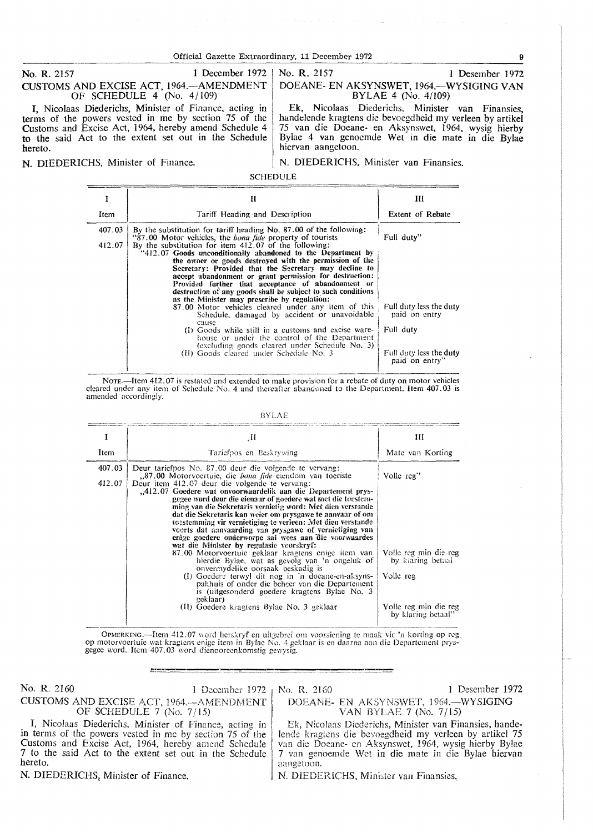Official Gazette Extraordinary, 11 December 1972 99

No. R. 2157 1 December 1972 CUSTOMS AND EXCISE ACT, 1964.-AMENDMENT OF SCHEDULE 4 (No. 4 / 109)

*I,* Nicolaas Diederichs, Minister of Finance, acting in terms of the powers vested in me by section 75 of the Customs and Excise Act, 1964, hereby amend Schedule 4 **to** the said Act to the extent set out in the Schedule hereto.

No. **R.** 2157 I Desember 1972 DOEANE- EN AKSYNSWET, 1964.-WYSIGING VAN BYLAE 4 (No. 4/109)

Ek, Nicolaas Diederichs, Minister van Finansies, handelende kragtens die bevoegdheid my verleen by artikel 75 van die Doeane- en Aksynswet, 1964, wysig hierby Bylae 4 van genocmde Wet in die mate in die Bylae hiervan aangetoon.

**N. DIEDERICHS, Minister of Finance.** N. DIEDERICHS, Minister van Finansies.

SCHEDULE

| I                | н                                                                                                                                                                                                                                                                                                                                                                                                                                                                                                                                                                                                                                                                                                                                                                                                                                                                                               | Ш                                                                   |
|------------------|-------------------------------------------------------------------------------------------------------------------------------------------------------------------------------------------------------------------------------------------------------------------------------------------------------------------------------------------------------------------------------------------------------------------------------------------------------------------------------------------------------------------------------------------------------------------------------------------------------------------------------------------------------------------------------------------------------------------------------------------------------------------------------------------------------------------------------------------------------------------------------------------------|---------------------------------------------------------------------|
| Item             | Tariff Heading and Description                                                                                                                                                                                                                                                                                                                                                                                                                                                                                                                                                                                                                                                                                                                                                                                                                                                                  | <b>Extent of Rebate</b>                                             |
| 407.03<br>412.07 | By the substitution for tariff heading No. 87,00 of the following:<br>"87.00 Motor vehicles, the <i>bona fide</i> property of tourists<br>By the substitution for item $412.07$ of the following:<br>"412.07 Goods unconditionally abandoned to the Department by<br>the owner or goods destroyed with the permission of the<br>Secretary: Provided that the Secretary may decline to<br>accept abandonment or grant permission for destruction:<br>Provided further that acceptance of abandonment or<br>destruction of any goods shall be subject to such conditions<br>as the Minister may prescribe by regulation:<br>87.00 Motor vehicles cleared under any item of this<br>Schedule, damaged by accident or unavoidable<br>cause<br>(I) Goods while still in a customs and excise ware-<br>house or under the control of the Department<br>(excluding goods cleared under Schedule No. 3) | Full duty"<br>Full duty less the duty<br>paid on entry<br>Full duty |
|                  | (II) Goods cleared under Schedule No. 3                                                                                                                                                                                                                                                                                                                                                                                                                                                                                                                                                                                                                                                                                                                                                                                                                                                         | Full duty less the duty<br>paid on entry"                           |

cleared under any item of Schedule No. 4 and thereafter abandoned to the Department. Item 407.03 is amended accordingly.

BYLAE

| Ŧ                | $\cdot$ H                                                                                                                                                                                                                                                                                                                                                                                                                                                                                                                                                                                                                                                                                                                                                                                                                                                                                                                                                                                                                              | Ш                                                                                                                    |
|------------------|----------------------------------------------------------------------------------------------------------------------------------------------------------------------------------------------------------------------------------------------------------------------------------------------------------------------------------------------------------------------------------------------------------------------------------------------------------------------------------------------------------------------------------------------------------------------------------------------------------------------------------------------------------------------------------------------------------------------------------------------------------------------------------------------------------------------------------------------------------------------------------------------------------------------------------------------------------------------------------------------------------------------------------------|----------------------------------------------------------------------------------------------------------------------|
| Item             | Tariefpos en Beskrywing                                                                                                                                                                                                                                                                                                                                                                                                                                                                                                                                                                                                                                                                                                                                                                                                                                                                                                                                                                                                                | Mate van Korting                                                                                                     |
| 407.03<br>412.07 | Deur tariefpos No. 87,00 deur die volgende te vervang:<br>,87.00 Motorvoertuie, die <i>bona fide</i> eiendom van toeriste<br>Deur item 412.07 deur die volgende te vervang:<br>"412.07 Goedere wat onvoorwaardelik aan die Departement prys-<br>gegee word deur die eienaar of goedere wat met die toestem-<br>ming van die Sekretaris vernietig word: Met dien verstande<br>dat die Sekretaris kan weier om prysgawe te aanvaar of om<br>toestemming vir vernietiging te verleen: Met dien verstande<br>voerts dat aanvaarding van prysgawe of vernietiging van<br>enige goedere onderworpe sal wees aan die voorwaardes<br>wat die Minister by regulasie voorskryf:<br>87.00 Motorvoertuie geklaar kragtens enige item van<br>hierdie Bylae, wat as gevolg van 'n ongeluk of<br>onvermydelike oorsaak beskadig is<br>(1) Goedere terwyl dit nog in 'n doeane-en-aksyns-<br>pakhuis of onder die beheer van die Departement<br>is (uitgesonderd goedere kragtens Bylae No. 3<br>geklaar)<br>(II) Goedere kragtens Bylae No. 3 geklaar | Volle reg"<br>Volle reg min die reg<br>by klaring betaal<br>Volle reg<br>Volle reg min die reg<br>by klaring betaal" |

OPMERKING.-Item 412.07 word herskryf en uitgebrei om voorsiening te maak vir 'n korting op reg. op motorvoertuie wat kragtens enige item in Bylac No. 4 geklaar is en daarna aan die Departement prysgegee word. Item 407.03 word dienooreenkomstig gewysig.

No. R. 2160

1 December 1972 CUSTOMS AND EXCISE ACT, 1964. AMENDMENT OF SCHEDULE 7 (No. 7/15)

No. R. 2160

1 Desember 1972

DOEANE-EN AKSYNSWET, 1964.-WYSlGING VAN BYLAE 7 (No. 7/15) Ek, N:colaas Diederichs, Minister van Finansies, hande-

I, Nicolaas Diederichs, Minister of Finance, acting in in terms of the powers vested in me by section 75 of the Customs and Excise Act, 1964, hereby amend Schedule 7 to the said Act to the extent set out in the Schedule hereto.

N. DIEDERICHS, Minister of Finance.

lende kragtens die bevoegdheid my verleen by artikel 75 van die Doeane- en Aksynswet, 1964, wysig hierby Bylae 7 van genoemde Wet in die mate in die Bylae hiervan aangetoon.

N. DIEDERICHS, Minister van Finansies.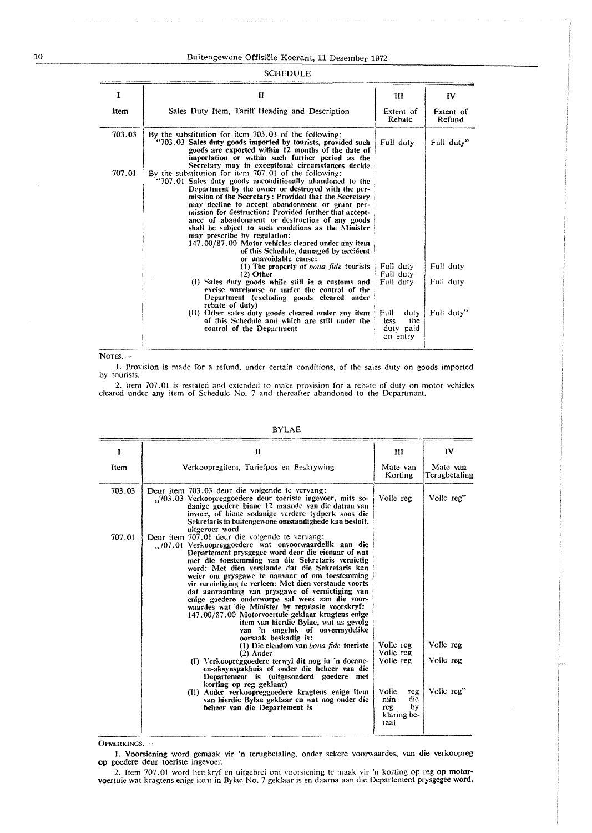#### SCHEDULE

| 1      | П                                                                                                                                                                                                                                                                                                                                                                                                                                                                                                                                                                                                                                                                 | ш                                                    | IV                  |
|--------|-------------------------------------------------------------------------------------------------------------------------------------------------------------------------------------------------------------------------------------------------------------------------------------------------------------------------------------------------------------------------------------------------------------------------------------------------------------------------------------------------------------------------------------------------------------------------------------------------------------------------------------------------------------------|------------------------------------------------------|---------------------|
| Item   | Sales Duty Item, Tariff Heading and Description                                                                                                                                                                                                                                                                                                                                                                                                                                                                                                                                                                                                                   | Extent of<br>Rebate                                  | Extent of<br>Refund |
| 703.03 | By the substitution for item 703.03 of the following:<br>"703.03 Sales duty goods imported by tourists, provided such<br>goods are exported within 12 months of the date of<br>importation or within such further period as the<br>Secretary may in exceptional circumstances decide                                                                                                                                                                                                                                                                                                                                                                              | Full duty                                            | Full duty"          |
| 707.01 | By the substitution for item 707.01 of the following:<br>"707.01 Sales duty goods unconditionally abandoned to the<br>Department by the owner or destroyed with the per-<br>mission of the Secretary: Provided that the Secretary<br>may decline to accept abandonment or grant per-<br>mission for destruction: Provided further that accept-<br>ance of abandonment or destruction of any goods<br>shall be subject to such conditions as the Minister<br>may prescribe by regulation:<br>147.00/87.00 Motor vehicles cleared under any item<br>of this Schedule, damaged by accident<br>or unavoidable cause:<br>(1) The property of <i>bona fide</i> tourists | Full duty                                            | Full duty           |
|        | $(2)$ Other<br>(1) Sales duty goods while still in a customs and<br>excise warehouse or under the control of the<br>Department (excluding goods cleared under<br>rebate of duty)                                                                                                                                                                                                                                                                                                                                                                                                                                                                                  | Full duty<br>Full duty                               | Full duty           |
|        | (II) Other sales duty goods cleared under any item<br>of this Schedule and which are still under the<br>control of the Department                                                                                                                                                                                                                                                                                                                                                                                                                                                                                                                                 | Full<br>duty<br>the<br>less<br>duty paid<br>on entry | Full duty"          |

NOTES.-

I. Provision is made for a refund, under certain conditions, of the sales duty on goods imported by tourists.

2. Item 707.01 is restated and extended to make provision for a rebate of duty on motor vehicles cleared under any item of Schedule No. 7 and thereafter abandoned to the Department.

| 1      | и                                                                                                                                                                                                                                                                                                                                                                                                                                                                                                                                                                                                                                                                                                                                                                                                                                                                                                                                                                                                                                                                                 | Ш                                                                                                     | IV                                   |
|--------|-----------------------------------------------------------------------------------------------------------------------------------------------------------------------------------------------------------------------------------------------------------------------------------------------------------------------------------------------------------------------------------------------------------------------------------------------------------------------------------------------------------------------------------------------------------------------------------------------------------------------------------------------------------------------------------------------------------------------------------------------------------------------------------------------------------------------------------------------------------------------------------------------------------------------------------------------------------------------------------------------------------------------------------------------------------------------------------|-------------------------------------------------------------------------------------------------------|--------------------------------------|
| Item   | Verkoopregitem, Tariefpos en Beskrywing                                                                                                                                                                                                                                                                                                                                                                                                                                                                                                                                                                                                                                                                                                                                                                                                                                                                                                                                                                                                                                           | Mate van<br>Korting                                                                                   | Mate van<br>Terugbetaling            |
| 703.03 | Deur item 703.03 deur die volgende te vervang:<br>703.03 Verkoopreggoedere deur toeriste ingevoer, mits so-<br>danige goedere binne 12 maande van die datum van<br>invoer, of binne sodanige verdere tydperk soos die<br>Sekretaris in buitengewone omstandighede kan besluit,<br>uitgevoer word                                                                                                                                                                                                                                                                                                                                                                                                                                                                                                                                                                                                                                                                                                                                                                                  | Volle reg                                                                                             | Volle reg"                           |
| 707.01 | Deur item 707.01 deur die volgende te vervang:<br>"707.01 Verkoopreggoedere wat onvoorwaardelik aan die<br>Departement prysgegee word deur die eienaar of wat<br>met die toestemming van die Sekretaris vernietig<br>word: Met dien verstande dat die Sekretaris kan<br>weier om prysgawe te aanvaar of om toestemming<br>vir vernietiging te verleen: Met dien verstande voorts<br>dat aanvaarding van prysgawe of vernietiging van<br>enige goedere onderworpe sal wees aan die voor-<br>waardes wat die Minister by regulasie voorskryf:<br>147.00/87.00 Motorvoertuie geklaar kragtens enige<br>item van hierdie Bylae, wat as gevolg<br>van 'n ongeluk of onvermydelike<br>oorsaak beskadig is:<br>(1) Die eiendom van bona fide toeriste<br>$(2)$ Ander<br>(I) Verkoopreggoedere terwyl dit nog in 'n doeane-<br>en-aksynspakhuis of onder die beheer van die<br>Departement is (uitgesonderd goedere met<br>korting op reg geklaar)<br>(II) Ander verkoopreggoedere kragtens enige item<br>van hierdie Bylae geklaar en wat nog onder die<br>beheer van die Departement is | Volle reg<br>Volle reg<br>Volle reg<br>Volle<br>rey<br>die<br>min<br>by<br>reg<br>klaring be-<br>taal | Volle reg<br>Volle reg<br>Volle reg" |

#### BYLAE

0PMERKINGS.-

J. Voorsiening word gemaak vir 'n terugbetaling, ondcr sekere voorwaardes, van die verkoopreg op goedere deur toeriste ingevoer.

2. Item 707.01 word herskryf en uitgebrei om voorsiening te maak vir 'n korting op reg op motorvoertuie wat kragtens enigc item in Bylae No. 7 geklaar is en daarna aan die Departement prysgegee word.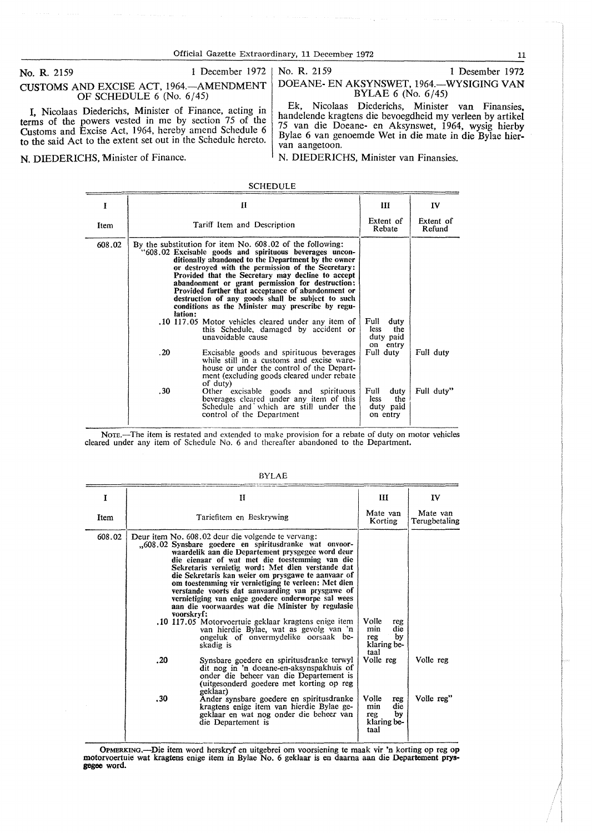#### No. R. 2159 1 December 1972 No. R. 2159 1 Desember 1972

# CUSTOMS AND EXCISE ACT, 1964.-AMENDMENT OF SCHEDULE 6 (No. 6/45)

I, Nicolaas Diederichs, Minister of Finance, acting in terms of the powers vested in me by section 75 of the Customs and Excise Act, 1964, hereby amend Schedule 6 to the said Act to the extent set out in the Schedule hereto.

**N. DIEDERICHS, Minister of Finance.** N. **N. DIEDERICHS**, Minister van Finansies.

# DOEANE- EN AKSYNSWET, 1964.-WYSIGING **VAN**  BYLAE 6 (No. 6/45)

Ek, Nicolaas Diederichs, Minister van Finansies handelende kragtens die bevoegdheid my verleen by artikel 75 van die Doeane- en Aksynswet, 1964, wysig hierby Bylae 6 van genoemde Wet in die mate in die Byhe hiervan aangetoon.

SCHEDULE

|        | П                                                                                                                                                                                                                                                                                                                                                                                                                                                                                                                                                                                                                    | Ш                                                    | $\mathbf{IV}$       |
|--------|----------------------------------------------------------------------------------------------------------------------------------------------------------------------------------------------------------------------------------------------------------------------------------------------------------------------------------------------------------------------------------------------------------------------------------------------------------------------------------------------------------------------------------------------------------------------------------------------------------------------|------------------------------------------------------|---------------------|
| Item   | Tariff Item and Description                                                                                                                                                                                                                                                                                                                                                                                                                                                                                                                                                                                          | Extent of<br>Rebate                                  | Extent of<br>Refund |
| 608.02 | By the substitution for item No. 608.02 of the following:<br>"608.02 Excisable goods and spirituous beverages uncon-<br>ditionally abandoned to the Department by the owner<br>or destroyed with the permission of the Secretary:<br>Provided that the Secretary may decline to accept<br>abandonment or grant permission for destruction:<br>Provided further that acceptance of abandonment or<br>destruction of any goods shall be subject to such<br>conditions as the Minister may prescribe by regu-<br>lation:<br>10 117.05 Motor vehicles cleared under any item of<br>this Schedule, damaged by accident or | Full<br>duty<br>less.<br>the                         |                     |
|        | unavoidable cause<br>.20<br>Excisable goods and spirituous beverages<br>while still in a customs and excise ware-<br>house or under the control of the Depart-<br>ment (excluding goods cleared under rebate<br>of duty)                                                                                                                                                                                                                                                                                                                                                                                             | duty paid<br>on entry<br>Full duty                   | Full duty           |
|        | .30<br>Other excisable goods and spirituous<br>beverages cleared under any item of this<br>Schedule and which are still under the<br>control of the Department                                                                                                                                                                                                                                                                                                                                                                                                                                                       | Full<br>duty<br>the<br>less<br>duty paid<br>on entry | Full duty"          |

Nore.—The item is restated and extended to make provision for a rebate of duty on motor vehicles cleared under any item of Schedule No. 6 and thereafter abandoned to the Department.

| 1      | н                                                                                                                                                                                                                                                                                                                                                                                                                                                                                                                                                                                                                                                                                                                                                                                                                                                                                                                                                                                                                                                                            | Ш                                                                                                                      | IV                        |
|--------|------------------------------------------------------------------------------------------------------------------------------------------------------------------------------------------------------------------------------------------------------------------------------------------------------------------------------------------------------------------------------------------------------------------------------------------------------------------------------------------------------------------------------------------------------------------------------------------------------------------------------------------------------------------------------------------------------------------------------------------------------------------------------------------------------------------------------------------------------------------------------------------------------------------------------------------------------------------------------------------------------------------------------------------------------------------------------|------------------------------------------------------------------------------------------------------------------------|---------------------------|
| Item   | Tariefitem en Beskrywing                                                                                                                                                                                                                                                                                                                                                                                                                                                                                                                                                                                                                                                                                                                                                                                                                                                                                                                                                                                                                                                     | Mate van<br>Korting                                                                                                    | Mate van<br>Terugbetaling |
| 608.02 | Deur item No. 608.02 deur die volgende te vervang:<br>.,608.02 Synsbare goedere en spiritusdranke wat onvoor-<br>waardelik aan die Departement prysgegee word deur<br>die eienaar of wat met die toestemming van die<br>Sekretaris vernietig word: Met dien verstande dat<br>die Sekretaris kan weier om prysgawe te aanvaar of<br>om toestemming vir vernietiging te verleen: Met dien<br>verstande voorts dat aanvaarding van prysgawe of<br>vernietiging van enige goedere onderworpe sal wees<br>aan die voorwaardes wat die Minister by regulasie<br>voorskryf:<br>.10 117.05 Motorvoertuie geklaar kragtens enige item.<br>van hierdie Bylae, wat as gevolg van 'n<br>ongeluk of onvermydelike oorsaak be-<br>skadig is<br>. 20<br>Synsbare goedere en spiritusdranke terwyl<br>dit nog in 'n doeane-en-aksynspakhuis of<br>onder die beheer van die Departement is<br>(uitgesonderd goedere met korting op reg<br>geklaar)<br>.30<br>Ander synsbare goedere en spiritusdranke<br>kragtens enige item van hierdie Bylae ge-<br>geklaar en wat nog onder die beheer van | Volle<br>reg<br>die<br>min<br>by<br>reg<br>klaring be-<br>taal<br>Volle reg<br>Volle<br>reg<br>die<br>min<br>by<br>reg | Volle reg<br>Volle reg"   |
|        | die Departement is                                                                                                                                                                                                                                                                                                                                                                                                                                                                                                                                                                                                                                                                                                                                                                                                                                                                                                                                                                                                                                                           | klaring be-<br>taal                                                                                                    |                           |

#### **BYLAE**

OPMERKING.-Die item word herskryf en uitgebrei om voorsiening te maak vir 'n korting op reg op motorvoertuie wat kragtens enige item in Bylae No. 6 geklaar is en daama aan die Departement **prys**gegee word.